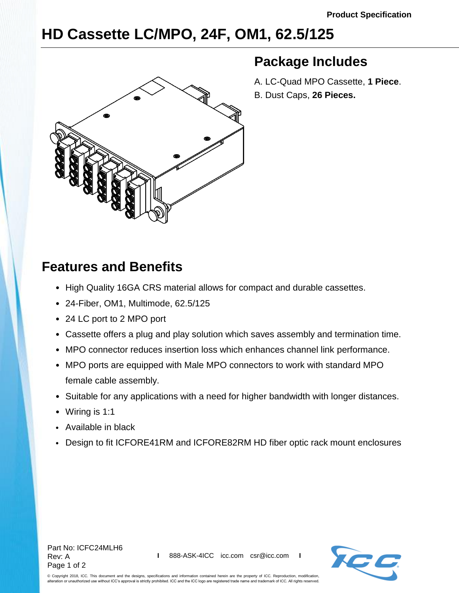## **HD Cassette LC/MPO, 24F, OM1, 62.5/125**



## **Package Includes**

A. LC-Quad MPO Cassette, **1 Piece**. B. Dust Caps, **26 Pieces.**

## **Features and Benefits**

- High Quality 16GA CRS material allows for compact and durable cassettes.
- 24-Fiber, OM1, Multimode, 62.5/125
- 24 LC port to 2 MPO port
- Cassette offers a plug and play solution which saves assembly and termination time.
- MPO connector reduces insertion loss which enhances channel link performance.
- MPO ports are equipped with Male MPO connectors to work with standard MPO female cable assembly.
- Suitable for any applications with a need for higher bandwidth with longer distances.
- Wiring is 1:1
- Available in black
- Design to fit ICFORE41RM and ICFORE82RM HD fiber optic rack mount enclosures



© Copyright 2018, ICC. This document and the designs, specifications and information contained herein are the property of ICC. Reproduction, modification, alteration or unauthorized use without ICC's approval is strictly prohibited. ICC and the ICC logo are registered trade name and trademark of ICC. All rights reserved.